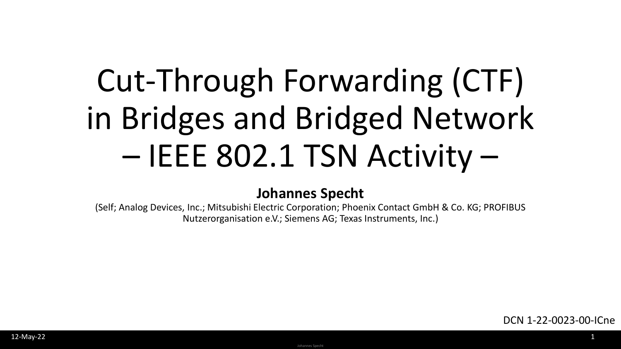# Cut-Through Forwarding (CTF) in Bridges and Bridged Network – IEEE 802.1 TSN Activity –

#### **Johannes Specht**

(Self; Analog Devices, Inc.; Mitsubishi Electric Corporation; Phoenix Contact GmbH & Co. KG; PROFIBUS Nutzerorganisation e.V.; Siemens AG; Texas Instruments, Inc.)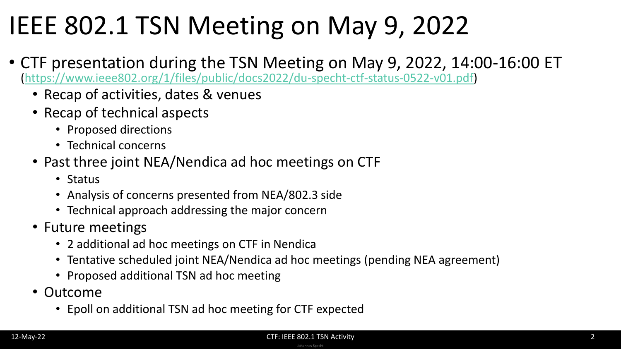#### IEEE 802.1 TSN Meeting on May 9, 2022

- CTF presentation during the TSN Meeting on May 9, 2022, 14:00-16:00 ET [\(https://www.ieee802.org/1/files/public/docs2022/du-specht-ctf-status-0522-v01.pdf](https://www.ieee802.org/1/files/public/docs2022/du-specht-ctf-status-0522-v01.pdf))
	- Recap of activities, dates & venues
	- Recap of technical aspects
		- Proposed directions
		- Technical concerns
	- Past three joint NEA/Nendica ad hoc meetings on CTF
		- Status
		- Analysis of concerns presented from NEA/802.3 side
		- Technical approach addressing the major concern
	- Future meetings
		- 2 additional ad hoc meetings on CTF in Nendica
		- Tentative scheduled joint NEA/Nendica ad hoc meetings (pending NEA agreement)
		- Proposed additional TSN ad hoc meeting
	- Outcome
		- Epoll on additional TSN ad hoc meeting for CTF expected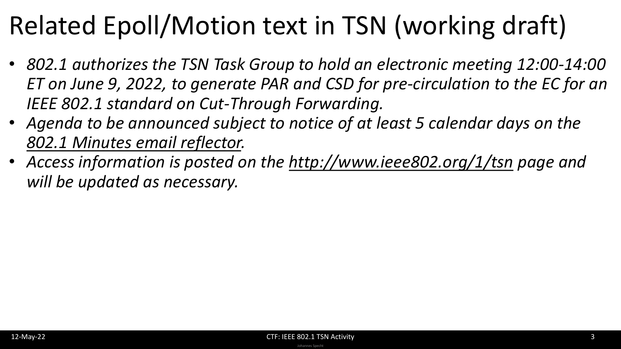## Related Epoll/Motion text in TSN (working draft)

- *802.1 authorizes the TSN Task Group to hold an electronic meeting 12:00-14:00 ET on June 9, 2022, to generate PAR and CSD for pre-circulation to the EC for an IEEE 802.1 standard on Cut-Through Forwarding.*
- *Agenda to be announced subject to notice of at least 5 calendar days on the [802.1 Minutes email reflector.](https://listserv.ieee.org/cgi-bin/wa?A0=STDS-802-1-MINUTES)*
- *Access information is posted on the <http://www.ieee802.org/1/tsn> page and will be updated as necessary.*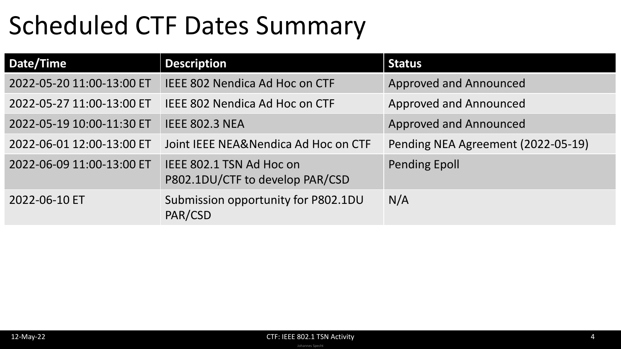### Scheduled CTF Dates Summary

| Date/Time                 | <b>Description</b>                                          | <b>Status</b>                      |
|---------------------------|-------------------------------------------------------------|------------------------------------|
| 2022-05-20 11:00-13:00 ET | <b>IEEE 802 Nendica Ad Hoc on CTF</b>                       | <b>Approved and Announced</b>      |
| 2022-05-27 11:00-13:00 ET | <b>IEEE 802 Nendica Ad Hoc on CTF</b>                       | <b>Approved and Announced</b>      |
| 2022-05-19 10:00-11:30 ET | <b>IEEE 802.3 NEA</b>                                       | <b>Approved and Announced</b>      |
| 2022-06-01 12:00-13:00 ET | Joint IEEE NEA&Nendica Ad Hoc on CTF                        | Pending NEA Agreement (2022-05-19) |
| 2022-06-09 11:00-13:00 ET | IEEE 802.1 TSN Ad Hoc on<br>P802.1DU/CTF to develop PAR/CSD | <b>Pending Epoll</b>               |
| 2022-06-10 ET             | Submission opportunity for P802.1DU<br>PAR/CSD              | N/A                                |